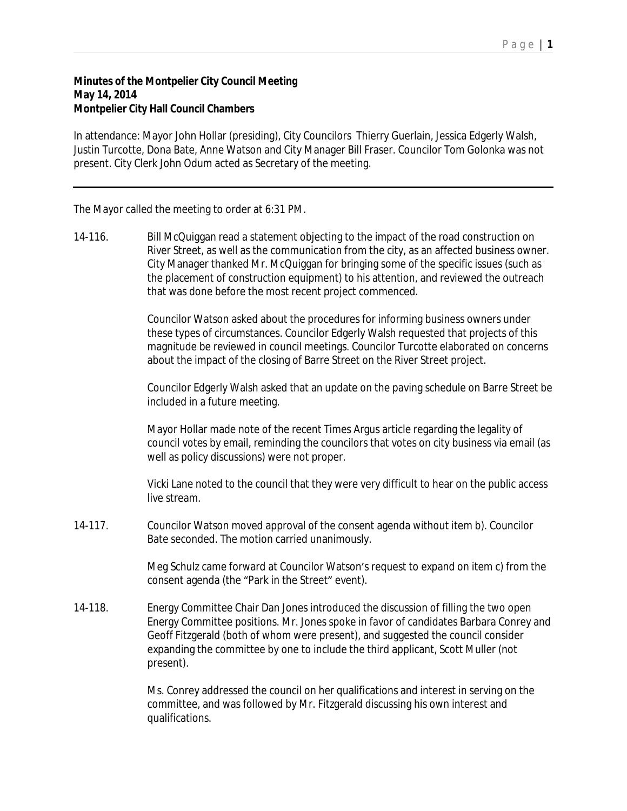## P a g e | **1**

## **Minutes of the Montpelier City Council Meeting May 14, 2014 Montpelier City Hall Council Chambers**

In attendance: Mayor John Hollar (presiding), City Councilors Thierry Guerlain, Jessica Edgerly Walsh, Justin Turcotte, Dona Bate, Anne Watson and City Manager Bill Fraser. Councilor Tom Golonka was not present. City Clerk John Odum acted as Secretary of the meeting.

The Mayor called the meeting to order at 6:31 PM.

14-116. Bill McQuiggan read a statement objecting to the impact of the road construction on River Street, as well as the communication from the city, as an affected business owner. City Manager thanked Mr. McQuiggan for bringing some of the specific issues (such as the placement of construction equipment) to his attention, and reviewed the outreach that was done before the most recent project commenced.

> Councilor Watson asked about the procedures for informing business owners under these types of circumstances. Councilor Edgerly Walsh requested that projects of this magnitude be reviewed in council meetings. Councilor Turcotte elaborated on concerns about the impact of the closing of Barre Street on the River Street project.

> Councilor Edgerly Walsh asked that an update on the paving schedule on Barre Street be included in a future meeting.

> Mayor Hollar made note of the recent Times Argus article regarding the legality of council votes by email, reminding the councilors that votes on city business via email (as well as policy discussions) were not proper.

> Vicki Lane noted to the council that they were very difficult to hear on the public access live stream.

14-117. Councilor Watson moved approval of the consent agenda without item b). Councilor Bate seconded. The motion carried unanimously.

> Meg Schulz came forward at Councilor Watson's request to expand on item c) from the consent agenda (the "Park in the Street" event).

14-118. Energy Committee Chair Dan Jones introduced the discussion of filling the two open Energy Committee positions. Mr. Jones spoke in favor of candidates Barbara Conrey and Geoff Fitzgerald (both of whom were present), and suggested the council consider expanding the committee by one to include the third applicant, Scott Muller (not present).

> Ms. Conrey addressed the council on her qualifications and interest in serving on the committee, and was followed by Mr. Fitzgerald discussing his own interest and qualifications.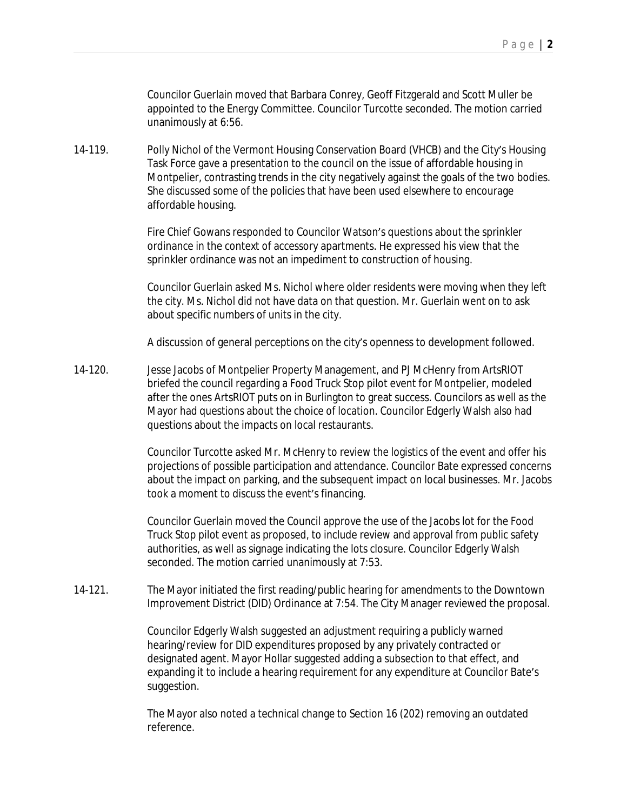Councilor Guerlain moved that Barbara Conrey, Geoff Fitzgerald and Scott Muller be appointed to the Energy Committee. Councilor Turcotte seconded. The motion carried unanimously at 6:56.

14-119. Polly Nichol of the Vermont Housing Conservation Board (VHCB) and the City's Housing Task Force gave a presentation to the council on the issue of affordable housing in Montpelier, contrasting trends in the city negatively against the goals of the two bodies. She discussed some of the policies that have been used elsewhere to encourage affordable housing.

> Fire Chief Gowans responded to Councilor Watson's questions about the sprinkler ordinance in the context of accessory apartments. He expressed his view that the sprinkler ordinance was not an impediment to construction of housing.

Councilor Guerlain asked Ms. Nichol where older residents were moving when they left the city. Ms. Nichol did not have data on that question. Mr. Guerlain went on to ask about specific numbers of units in the city.

A discussion of general perceptions on the city's openness to development followed.

14-120. Jesse Jacobs of Montpelier Property Management, and PJ McHenry from ArtsRIOT briefed the council regarding a Food Truck Stop pilot event for Montpelier, modeled after the ones ArtsRIOT puts on in Burlington to great success. Councilors as well as the Mayor had questions about the choice of location. Councilor Edgerly Walsh also had questions about the impacts on local restaurants.

> Councilor Turcotte asked Mr. McHenry to review the logistics of the event and offer his projections of possible participation and attendance. Councilor Bate expressed concerns about the impact on parking, and the subsequent impact on local businesses. Mr. Jacobs took a moment to discuss the event's financing.

Councilor Guerlain moved the Council approve the use of the Jacobs lot for the Food Truck Stop pilot event as proposed, to include review and approval from public safety authorities, as well as signage indicating the lots closure. Councilor Edgerly Walsh seconded. The motion carried unanimously at 7:53.

14-121. The Mayor initiated the first reading/public hearing for amendments to the Downtown Improvement District (DID) Ordinance at 7:54. The City Manager reviewed the proposal.

> Councilor Edgerly Walsh suggested an adjustment requiring a publicly warned hearing/review for DID expenditures proposed by any privately contracted or designated agent. Mayor Hollar suggested adding a subsection to that effect, and expanding it to include a hearing requirement for any expenditure at Councilor Bate's suggestion.

The Mayor also noted a technical change to Section 16 (202) removing an outdated reference.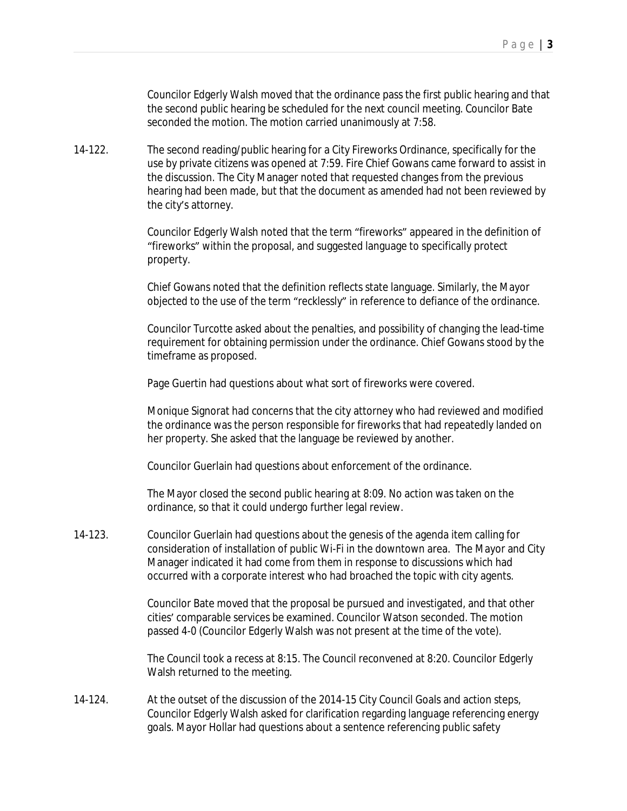Councilor Edgerly Walsh moved that the ordinance pass the first public hearing and that the second public hearing be scheduled for the next council meeting. Councilor Bate seconded the motion. The motion carried unanimously at 7:58.

14-122. The second reading/public hearing for a City Fireworks Ordinance, specifically for the use by private citizens was opened at 7:59. Fire Chief Gowans came forward to assist in the discussion. The City Manager noted that requested changes from the previous hearing had been made, but that the document as amended had not been reviewed by the city's attorney.

> Councilor Edgerly Walsh noted that the term "fireworks" appeared in the definition of "fireworks" within the proposal, and suggested language to specifically protect property.

> Chief Gowans noted that the definition reflects state language. Similarly, the Mayor objected to the use of the term "recklessly" in reference to defiance of the ordinance.

Councilor Turcotte asked about the penalties, and possibility of changing the lead-time requirement for obtaining permission under the ordinance. Chief Gowans stood by the timeframe as proposed.

Page Guertin had questions about what sort of fireworks were covered.

Monique Signorat had concerns that the city attorney who had reviewed and modified the ordinance was the person responsible for fireworks that had repeatedly landed on her property. She asked that the language be reviewed by another.

Councilor Guerlain had questions about enforcement of the ordinance.

The Mayor closed the second public hearing at 8:09. No action was taken on the ordinance, so that it could undergo further legal review.

14-123. Councilor Guerlain had questions about the genesis of the agenda item calling for consideration of installation of public Wi-Fi in the downtown area. The Mayor and City Manager indicated it had come from them in response to discussions which had occurred with a corporate interest who had broached the topic with city agents.

> Councilor Bate moved that the proposal be pursued and investigated, and that other cities' comparable services be examined. Councilor Watson seconded. The motion passed 4-0 (Councilor Edgerly Walsh was not present at the time of the vote).

> The Council took a recess at 8:15. The Council reconvened at 8:20. Councilor Edgerly Walsh returned to the meeting.

14-124. At the outset of the discussion of the 2014-15 City Council Goals and action steps, Councilor Edgerly Walsh asked for clarification regarding language referencing energy goals. Mayor Hollar had questions about a sentence referencing public safety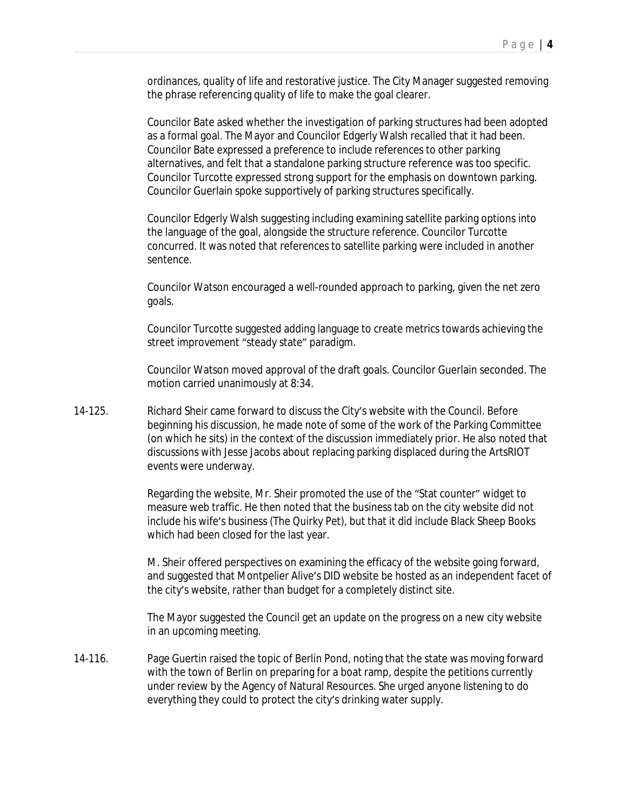ordinances, quality of life and restorative justice. The City Manager suggested removing the phrase referencing quality of life to make the goal clearer.

Councilor Bate asked whether the investigation of parking structures had been adopted as a formal goal. The Mayor and Councilor Edgerly Walsh recalled that it had been. Councilor Bate expressed a preference to include references to other parking alternatives, and felt that a standalone parking structure reference was too specific. Councilor Turcotte expressed strong support for the emphasis on downtown parking. Councilor Guerlain spoke supportively of parking structures specifically.

Councilor Edgerly Walsh suggesting including examining satellite parking options into the language of the goal, alongside the structure reference. Councilor Turcotte concurred. It was noted that references to satellite parking were included in another sentence.

Councilor Watson encouraged a well-rounded approach to parking, given the net zero goals.

Councilor Turcotte suggested adding language to create metrics towards achieving the street improvement "steady state" paradigm.

Councilor Watson moved approval of the draft goals. Councilor Guerlain seconded. The motion carried unanimously at 8:34.

14-125. Richard Sheir came forward to discuss the City's website with the Council. Before beginning his discussion, he made note of some of the work of the Parking Committee (on which he sits) in the context of the discussion immediately prior. He also noted that discussions with Jesse Jacobs about replacing parking displaced during the ArtsRIOT events were underway.

> Regarding the website, Mr. Sheir promoted the use of the "Stat counter" widget to measure web traffic. He then noted that the business tab on the city website did not include his wife's business (The Quirky Pet), but that it did include Black Sheep Books which had been closed for the last year.

M. Sheir offered perspectives on examining the efficacy of the website going forward, and suggested that Montpelier Alive's DID website be hosted as an independent facet of the city's website, rather than budget for a completely distinct site.

The Mayor suggested the Council get an update on the progress on a new city website in an upcoming meeting.

14-116. Page Guertin raised the topic of Berlin Pond, noting that the state was moving forward with the town of Berlin on preparing for a boat ramp, despite the petitions currently under review by the Agency of Natural Resources. She urged anyone listening to do everything they could to protect the city's drinking water supply.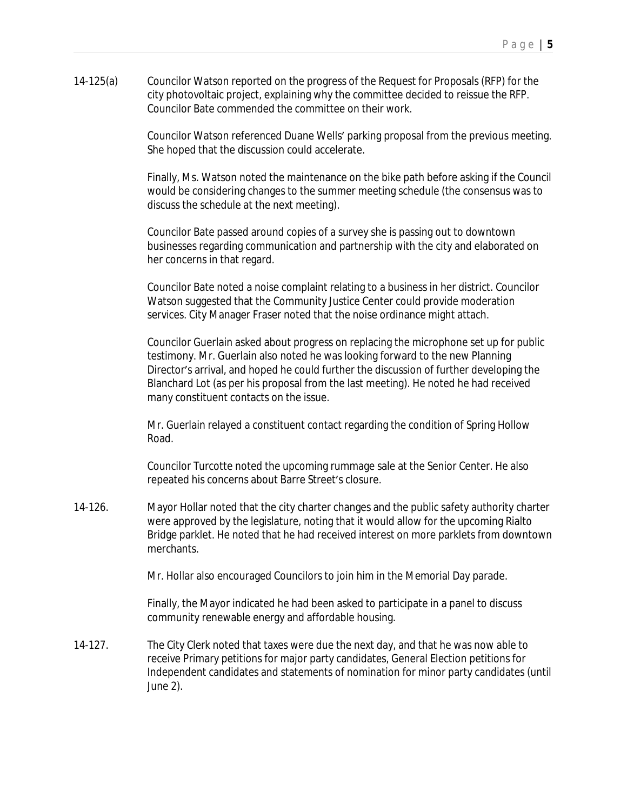14-125(a) Councilor Watson reported on the progress of the Request for Proposals (RFP) for the city photovoltaic project, explaining why the committee decided to reissue the RFP. Councilor Bate commended the committee on their work.

> Councilor Watson referenced Duane Wells' parking proposal from the previous meeting. She hoped that the discussion could accelerate.

> Finally, Ms. Watson noted the maintenance on the bike path before asking if the Council would be considering changes to the summer meeting schedule (the consensus was to discuss the schedule at the next meeting).

Councilor Bate passed around copies of a survey she is passing out to downtown businesses regarding communication and partnership with the city and elaborated on her concerns in that regard.

Councilor Bate noted a noise complaint relating to a business in her district. Councilor Watson suggested that the Community Justice Center could provide moderation services. City Manager Fraser noted that the noise ordinance might attach.

Councilor Guerlain asked about progress on replacing the microphone set up for public testimony. Mr. Guerlain also noted he was looking forward to the new Planning Director's arrival, and hoped he could further the discussion of further developing the Blanchard Lot (as per his proposal from the last meeting). He noted he had received many constituent contacts on the issue.

Mr. Guerlain relayed a constituent contact regarding the condition of Spring Hollow Road.

Councilor Turcotte noted the upcoming rummage sale at the Senior Center. He also repeated his concerns about Barre Street's closure.

14-126. Mayor Hollar noted that the city charter changes and the public safety authority charter were approved by the legislature, noting that it would allow for the upcoming Rialto Bridge parklet. He noted that he had received interest on more parklets from downtown merchants.

Mr. Hollar also encouraged Councilors to join him in the Memorial Day parade.

Finally, the Mayor indicated he had been asked to participate in a panel to discuss community renewable energy and affordable housing.

14-127. The City Clerk noted that taxes were due the next day, and that he was now able to receive Primary petitions for major party candidates, General Election petitions for Independent candidates and statements of nomination for minor party candidates (until June 2).